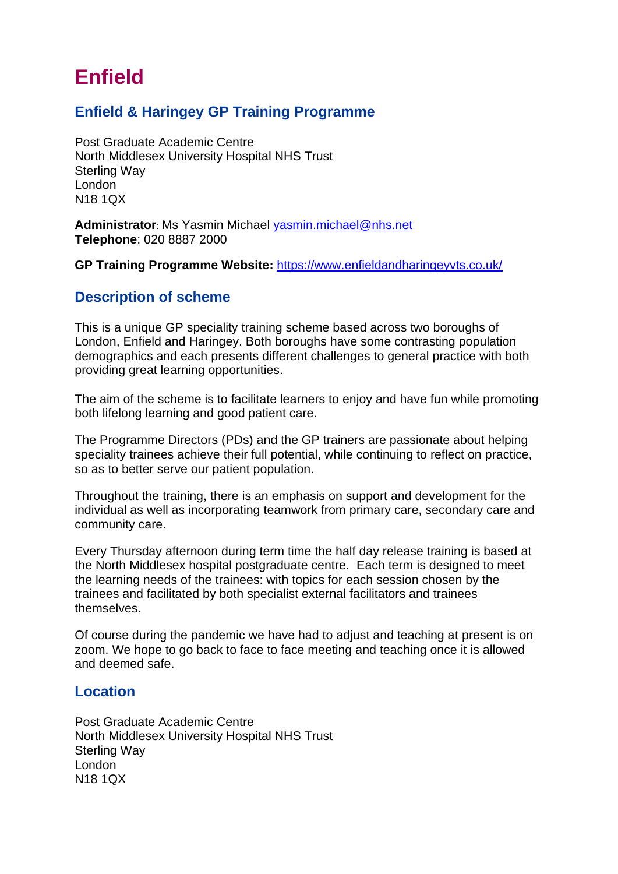# **Enfield**

### **Enfield & Haringey GP Training Programme**

Post Graduate Academic Centre North Middlesex University Hospital NHS Trust Sterling Way London N18 1QX

**Administrator**: Ms Yasmin Michael [yasmin.michael@nhs.net](mailto:yasmin.michael@nhs.net) **Telephone**: 020 8887 2000

**GP Training Programme Website:** <https://www.enfieldandharingeyvts.co.uk/>

#### **Description of scheme**

This is a unique GP speciality training scheme based across two boroughs of London, Enfield and Haringey. Both boroughs have some contrasting population demographics and each presents different challenges to general practice with both providing great learning opportunities.

The aim of the scheme is to facilitate learners to enjoy and have fun while promoting both lifelong learning and good patient care.

The Programme Directors (PDs) and the GP trainers are passionate about helping speciality trainees achieve their full potential, while continuing to reflect on practice, so as to better serve our patient population.

Throughout the training, there is an emphasis on support and development for the individual as well as incorporating teamwork from primary care, secondary care and community care.

Every Thursday afternoon during term time the half day release training is based at the North Middlesex hospital postgraduate centre. Each term is designed to meet the learning needs of the trainees: with topics for each session chosen by the trainees and facilitated by both specialist external facilitators and trainees themselves.

Of course during the pandemic we have had to adjust and teaching at present is on zoom. We hope to go back to face to face meeting and teaching once it is allowed and deemed safe.

#### **Location**

Post Graduate Academic Centre North Middlesex University Hospital NHS Trust Sterling Way London N18 1QX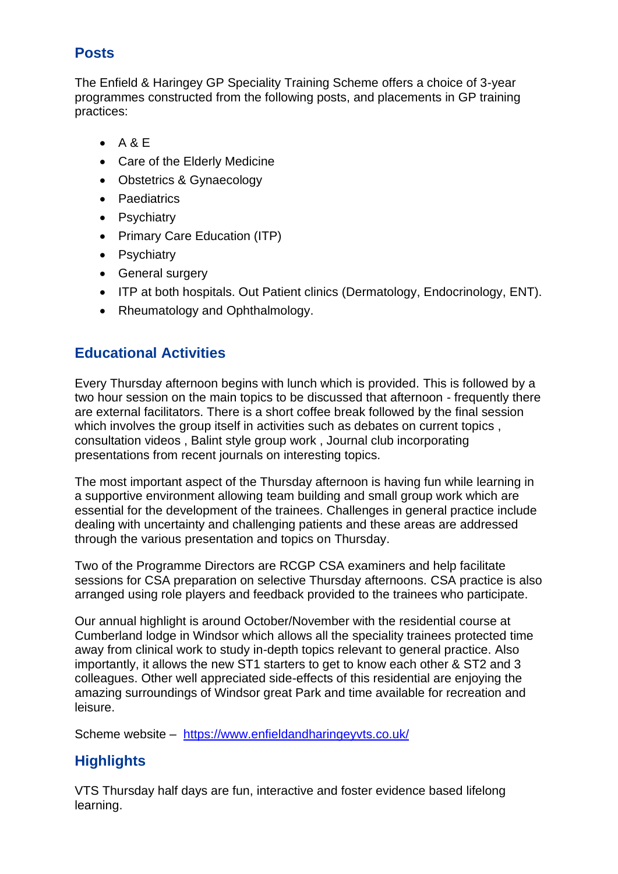## **Posts**

The Enfield & Haringey GP Speciality Training Scheme offers a choice of 3-year programmes constructed from the following posts, and placements in GP training practices:

- $\bullet$  A & E
- Care of the Elderly Medicine
- Obstetrics & Gynaecology
- Paediatrics
- Psychiatry
- Primary Care Education (ITP)
- Psychiatry
- General surgery
- ITP at both hospitals. Out Patient clinics (Dermatology, Endocrinology, ENT).
- Rheumatology and Ophthalmology.

# **Educational Activities**

Every Thursday afternoon begins with lunch which is provided. This is followed by a two hour session on the main topics to be discussed that afternoon - frequently there are external facilitators. There is a short coffee break followed by the final session which involves the group itself in activities such as debates on current topics, consultation videos , Balint style group work , Journal club incorporating presentations from recent journals on interesting topics.

The most important aspect of the Thursday afternoon is having fun while learning in a supportive environment allowing team building and small group work which are essential for the development of the trainees. Challenges in general practice include dealing with uncertainty and challenging patients and these areas are addressed through the various presentation and topics on Thursday.

Two of the Programme Directors are RCGP CSA examiners and help facilitate sessions for CSA preparation on selective Thursday afternoons. CSA practice is also arranged using role players and feedback provided to the trainees who participate.

Our annual highlight is around October/November with the residential course at Cumberland lodge in Windsor which allows all the speciality trainees protected time away from clinical work to study in-depth topics relevant to general practice. Also importantly, it allows the new ST1 starters to get to know each other & ST2 and 3 colleagues. Other well appreciated side-effects of this residential are enjoying the amazing surroundings of Windsor great Park and time available for recreation and leisure.

Scheme website – <https://www.enfieldandharingeyvts.co.uk/>

# **Highlights**

VTS Thursday half days are fun, interactive and foster evidence based lifelong learning.